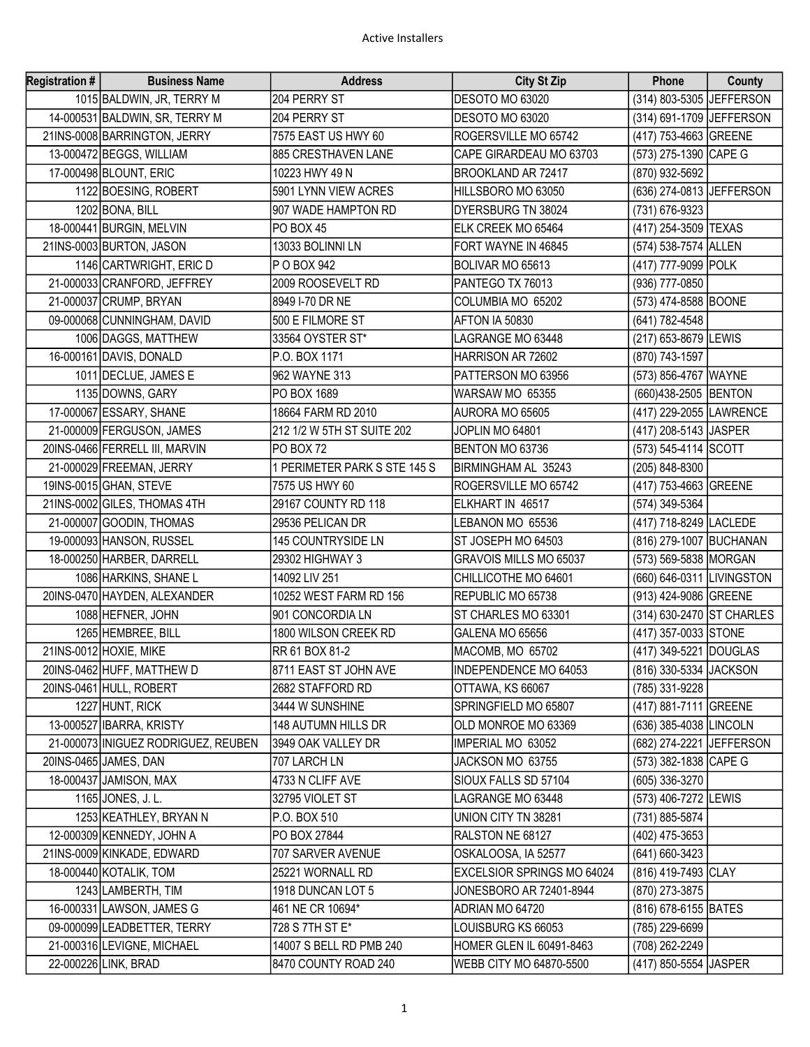| <b>Registration #</b> | <b>Business Name</b>                | <b>Address</b>               | <b>City St Zip</b>           | Phone                     | County |
|-----------------------|-------------------------------------|------------------------------|------------------------------|---------------------------|--------|
|                       | 1015 BALDWIN, JR, TERRY M           | 204 PERRY ST                 | DESOTO MO 63020              | (314) 803-5305 JEFFERSON  |        |
|                       | 14-000531 BALDWIN, SR, TERRY M      | 204 PERRY ST                 | DESOTO MO 63020              | (314) 691-1709 JEFFERSON  |        |
|                       | 21INS-0008 BARRINGTON, JERRY        | 7575 EAST US HWY 60          | ROGERSVILLE MO 65742         | (417) 753-4663 GREENE     |        |
|                       | 13-000472 BEGGS, WILLIAM            | 885 CRESTHAVEN LANE          | CAPE GIRARDEAU MO 63703      | (573) 275-1390 CAPE G     |        |
|                       | 17-000498 BLOUNT, ERIC              | 10223 HWY 49 N               | BROOKLAND AR 72417           | (870) 932-5692            |        |
|                       | 1122 BOESING, ROBERT                | 5901 LYNN VIEW ACRES         | HILLSBORO MO 63050           | (636) 274-0813 JEFFERSON  |        |
|                       | 1202 BONA, BILL                     | 907 WADE HAMPTON RD          | DYERSBURG TN 38024           | (731) 676-9323            |        |
|                       | 18-000441 BURGIN, MELVIN            | PO BOX 45                    | ELK CREEK MO 65464           | (417) 254-3509 TEXAS      |        |
|                       | 21INS-0003 BURTON, JASON            | 13033 BOLINNI LN             | FORT WAYNE IN 46845          | (574) 538-7574 ALLEN      |        |
|                       | 1146 CARTWRIGHT, ERIC D             | P O BOX 942                  | BOLIVAR MO 65613             | (417) 777-9099 POLK       |        |
|                       | 21-000033 CRANFORD, JEFFREY         | 2009 ROOSEVELT RD            | PANTEGO TX 76013             | (936) 777-0850            |        |
|                       | 21-000037 CRUMP, BRYAN              | 8949 I-70 DR NE              | COLUMBIA MO 65202            | (573) 474-8588 BOONE      |        |
|                       | 09-000068 CUNNINGHAM, DAVID         | 500 E FILMORE ST             | AFTON IA 50830               | (641) 782-4548            |        |
|                       | 1006 DAGGS, MATTHEW                 | 33564 OYSTER ST*             | LAGRANGE MO 63448            | (217) 653-8679 LEWIS      |        |
|                       | 16-000161 DAVIS, DONALD             | P.O. BOX 1171                | HARRISON AR 72602            | (870) 743-1597            |        |
|                       | 1011 DECLUE, JAMES E                | 962 WAYNE 313                | PATTERSON MO 63956           | (573) 856-4767 WAYNE      |        |
|                       | 1135 DOWNS, GARY                    | PO BOX 1689                  | WARSAW MO 65355              | (660)438-2505 BENTON      |        |
|                       | 17-000067 ESSARY, SHANE             | 18664 FARM RD 2010           | AURORA MO 65605              | (417) 229-2055 LAWRENCE   |        |
|                       | 21-000009 FERGUSON, JAMES           | 212 1/2 W 5TH ST SUITE 202   | JOPLIN MO 64801              | (417) 208-5143 JJASPER    |        |
|                       | 20INS-0466 FERRELL III, MARVIN      | <b>PO BOX 72</b>             | BENTON MO 63736              | (573) 545-4114 SCOTT      |        |
|                       | 21-000029 FREEMAN, JERRY            | 1 PERIMETER PARK S STE 145 S | BIRMINGHAM AL 35243          | (205) 848-8300            |        |
|                       | 19INS-0015 GHAN, STEVE              | 7575 US HWY 60               | ROGERSVILLE MO 65742         | (417) 753-4663 GREENE     |        |
|                       | 21INS-0002 GILES, THOMAS 4TH        | 29167 COUNTY RD 118          | ELKHART IN 46517             | (574) 349-5364            |        |
|                       | 21-000007 GOODIN, THOMAS            | 29536 PELICAN DR             | LEBANON MO 65536             | (417) 718-8249 LACLEDE    |        |
|                       | 19-000093 HANSON, RUSSEL            | 145 COUNTRYSIDE LN           | ST JOSEPH MO 64503           | (816) 279-1007 BUCHANAN   |        |
|                       | 18-000250 HARBER, DARRELL           | 29302 HIGHWAY 3              | GRAVOIS MILLS MO 65037       | (573) 569-5838 MORGAN     |        |
|                       | 1086 HARKINS, SHANE L               | 14092 LIV 251                | CHILLICOTHE MO 64601         | (660) 646-0311 LIVINGSTON |        |
|                       | 20INS-0470 HAYDEN, ALEXANDER        | 10252 WEST FARM RD 156       | REPUBLIC MO 65738            | (913) 424-9086 GREENE     |        |
|                       | 1088 HEFNER, JOHN                   | 901 CONCORDIA LN             | ST CHARLES MO 63301          | (314) 630-2470 ST CHARLES |        |
|                       | 1265 HEMBREE, BILL                  | 1800 WILSON CREEK RD         | GALENA MO 65656              | (417) 357-0033 STONE      |        |
|                       | 21INS-0012 HOXIE, MIKE              | RR 61 BOX 81-2               | MACOMB, MO 65702             | (417) 349-5221 DOUGLAS    |        |
|                       | 20INS-0462 HUFF, MATTHEW D          | 8711 EAST ST JOHN AVE        | <b>INDEPENDENCE MO 64053</b> | (816) 330-5334 JACKSON    |        |
|                       | 20INS-0461 HULL, ROBERT             | 2682 STAFFORD RD             | OTTAWA, KS 66067             | (785) 331-9228            |        |
|                       | 1227 HUNT, RICK                     | 3444 W SUNSHINE              | SPRINGFIELD MO 65807         | (417) 881-7111 GREENE     |        |
|                       | 13-000527 IBARRA, KRISTY            | 148 AUTUMN HILLS DR          | OLD MONROE MO 63369          | (636) 385-4038 LINCOLN    |        |
|                       | 21-000073 INIGUEZ RODRIGUEZ, REUBEN | 3949 OAK VALLEY DR           | IMPERIAL MO 63052            | (682) 274-2221 JEFFERSON  |        |
|                       | 20INS-0465 JAMES, DAN               | 707 LARCH LN                 | JACKSON MO 63755             | (573) 382-1838 CAPE G     |        |
|                       | 18-000437 JAMISON, MAX              | 4733 N CLIFF AVE             | SIOUX FALLS SD 57104         | (605) 336-3270            |        |
|                       | 1165 JONES, J. L.                   | 32795 VIOLET ST              | LAGRANGE MO 63448            | (573) 406-7272 LEWIS      |        |
|                       | 1253 KEATHLEY, BRYAN N              | P.O. BOX 510                 | UNION CITY TN 38281          | (731) 885-5874            |        |
|                       | 12-000309 KENNEDY, JOHN A           | PO BOX 27844                 | RALSTON NE 68127             | (402) 475-3653            |        |
|                       | 21INS-0009 KINKADE, EDWARD          | 707 SARVER AVENUE            | OSKALOOSA, IA 52577          | (641) 660-3423            |        |
|                       | 18-000440 KOTALIK, TOM              | 25221 WORNALL RD             | EXCELSIOR SPRINGS MO 64024   | (816) 419-7493 CLAY       |        |
|                       | 1243 LAMBERTH, TIM                  | 1918 DUNCAN LOT 5            | JONESBORO AR 72401-8944      | (870) 273-3875            |        |
|                       | 16-000331 LAWSON, JAMES G           | 461 NE CR 10694*             | ADRIAN MO 64720              | (816) 678-6155 BATES      |        |
|                       | 09-000099 LEADBETTER, TERRY         | 728 S 7TH ST E*              | LOUISBURG KS 66053           | (785) 229-6699            |        |
|                       | 21-000316 LEVIGNE, MICHAEL          | 14007 S BELL RD PMB 240      | HOMER GLEN IL 60491-8463     | (708) 262-2249            |        |
|                       | 22-000226 LINK, BRAD                | 8470 COUNTY ROAD 240         | WEBB CITY MO 64870-5500      | (417) 850-5554 JJASPER    |        |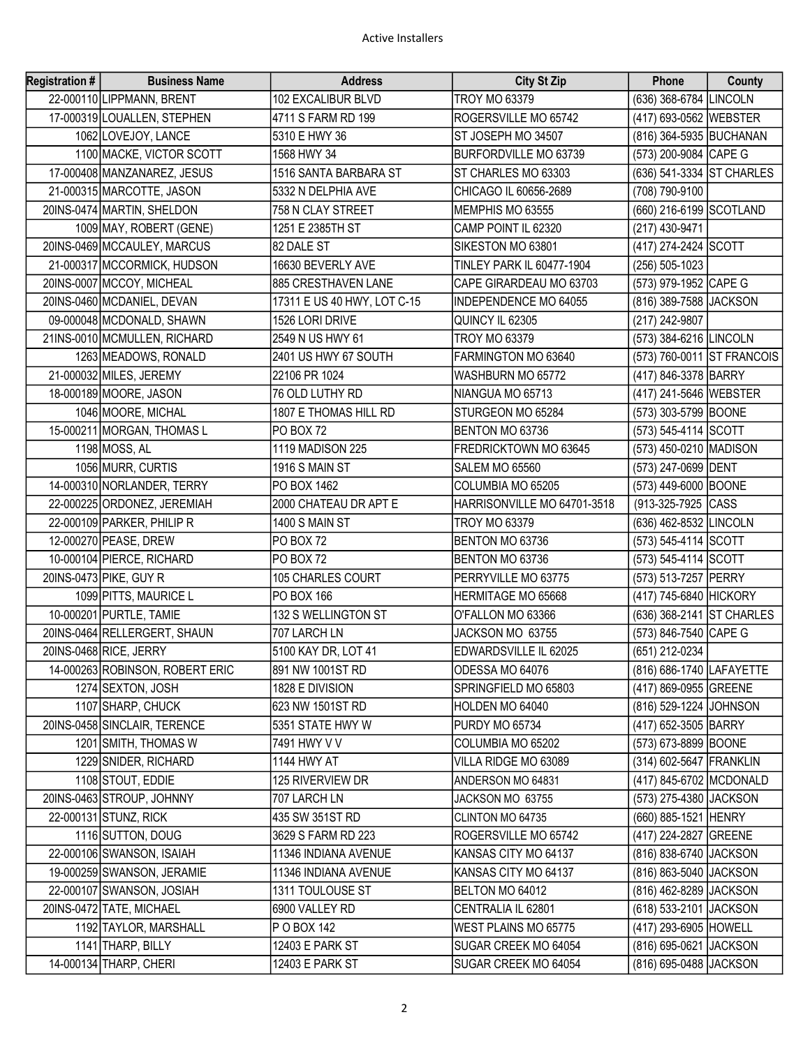| <b>Registration #</b> | <b>Business Name</b>            | <b>Address</b>              | <b>City St Zip</b>           | <b>Phone</b>               | County |
|-----------------------|---------------------------------|-----------------------------|------------------------------|----------------------------|--------|
|                       | 22-000110 LIPPMANN, BRENT       | 102 EXCALIBUR BLVD          | <b>TROY MO 63379</b>         | (636) 368-6784 LINCOLN     |        |
|                       | 17-000319 LOUALLEN, STEPHEN     | 4711 S FARM RD 199          | ROGERSVILLE MO 65742         | (417) 693-0562 WEBSTER     |        |
|                       | 1062 LOVEJOY, LANCE             | 5310 E HWY 36               | ST JOSEPH MO 34507           | (816) 364-5935 BUCHANAN    |        |
|                       | 1100 MACKE, VICTOR SCOTT        | 1568 HWY 34                 | BURFORDVILLE MO 63739        | (573) 200-9084 CAPE G      |        |
|                       | 17-000408 MANZANAREZ, JESUS     | 1516 SANTA BARBARA ST       | ST CHARLES MO 63303          | (636) 541-3334 ST CHARLES  |        |
|                       | 21-000315 MARCOTTE, JASON       | 5332 N DELPHIA AVE          | CHICAGO IL 60656-2689        | (708) 790-9100             |        |
|                       | 20INS-0474 MARTIN, SHELDON      | 758 N CLAY STREET           | MEMPHIS MO 63555             | (660) 216-6199 SCOTLAND    |        |
|                       | 1009 MAY, ROBERT (GENE)         | 1251 E 2385TH ST            | CAMP POINT IL 62320          | (217) 430-9471             |        |
|                       | 20INS-0469 MCCAULEY, MARCUS     | 82 DALE ST                  | SIKESTON MO 63801            | (417) 274-2424 SCOTT       |        |
|                       | 21-000317 MCCORMICK, HUDSON     | 16630 BEVERLY AVE           | TINLEY PARK IL 60477-1904    | (256) 505-1023             |        |
|                       | 20INS-0007 MCCOY, MICHEAL       | 885 CRESTHAVEN LANE         | CAPE GIRARDEAU MO 63703      | (573) 979-1952 CAPE G      |        |
|                       | 20INS-0460 MCDANIEL, DEVAN      | 17311 E US 40 HWY, LOT C-15 | <b>INDEPENDENCE MO 64055</b> | (816) 389-7588 JACKSON     |        |
|                       | 09-000048 MCDONALD, SHAWN       | 1526 LORI DRIVE             | QUINCY IL 62305              | (217) 242-9807             |        |
|                       | 21INS-0010 MCMULLEN, RICHARD    | 2549 N US HWY 61            | <b>TROY MO 63379</b>         | (573) 384-6216 LINCOLN     |        |
|                       | 1263 MEADOWS, RONALD            | 2401 US HWY 67 SOUTH        | FARMINGTON MO 63640          | (573) 760-0011 ST FRANCOIS |        |
|                       | 21-000032 MILES, JEREMY         | 22106 PR 1024               | WASHBURN MO 65772            | (417) 846-3378 BARRY       |        |
|                       | 18-000189 MOORE, JASON          | 76 OLD LUTHY RD             | NIANGUA MO 65713             | (417) 241-5646 WEBSTER     |        |
|                       | 1046 MOORE, MICHAL              | 1807 E THOMAS HILL RD       | STURGEON MO 65284            | (573) 303-5799 BOONE       |        |
|                       | 15-000211 MORGAN, THOMAS L      | <b>PO BOX 72</b>            | BENTON MO 63736              | (573) 545-4114 SCOTT       |        |
|                       | 1198 MOSS, AL                   | 1119 MADISON 225            | FREDRICKTOWN MO 63645        | (573) 450-0210 MADISON     |        |
|                       | 1056 MURR, CURTIS               | 1916 S MAIN ST              | SALEM MO 65560               | (573) 247-0699 DENT        |        |
|                       | 14-000310 NORLANDER, TERRY      | PO BOX 1462                 | COLUMBIA MO 65205            | (573) 449-6000 BOONE       |        |
|                       | 22-000225 ORDONEZ, JEREMIAH     | 2000 CHATEAU DR APT E       | HARRISONVILLE MO 64701-3518  | (913-325-7925 CASS         |        |
|                       | 22-000109 PARKER, PHILIP R      | 1400 S MAIN ST              | <b>TROY MO 63379</b>         | (636) 462-8532 LINCOLN     |        |
|                       | 12-000270 PEASE, DREW           | PO BOX 72                   | BENTON MO 63736              | (573) 545-4114 SCOTT       |        |
|                       | 10-000104 PIERCE, RICHARD       | <b>PO BOX 72</b>            | BENTON MO 63736              | (573) 545-4114 SCOTT       |        |
|                       | 20INS-0473 PIKE, GUY R          | 105 CHARLES COURT           | PERRYVILLE MO 63775          | (573) 513-7257 PERRY       |        |
|                       | 1099 PITTS, MAURICE L           | PO BOX 166                  | HERMITAGE MO 65668           | (417) 745-6840 HICKORY     |        |
|                       | 10-000201 PURTLE, TAMIE         | 132 S WELLINGTON ST         | O'FALLON MO 63366            | (636) 368-2141 ST CHARLES  |        |
|                       | 20INS-0464 RELLERGERT, SHAUN    | 707 LARCH LN                | JACKSON MO 63755             | (573) 846-7540 CAPE G      |        |
|                       | 20INS-0468 RICE, JERRY          | 5100 KAY DR, LOT 41         | EDWARDSVILLE IL 62025        | (651) 212-0234             |        |
|                       | 14-000263 ROBINSON, ROBERT ERIC | 891 NW 1001ST RD            | ODESSA MO 64076              | (816) 686-1740 LAFAYETTE   |        |
|                       | 1274 SEXTON, JOSH               | 1828 E DIVISION             | SPRINGFIELD MO 65803         | (417) 869-0955 GREENE      |        |
|                       | 1107 SHARP, CHUCK               | 623 NW 1501ST RD            | HOLDEN MO 64040              | (816) 529-1224 JOHNSON     |        |
|                       | 20INS-0458 SINCLAIR, TERENCE    | 5351 STATE HWY W            | PURDY MO 65734               | (417) 652-3505 BARRY       |        |
|                       | 1201 SMITH, THOMAS W            | 7491 HWY V V                | COLUMBIA MO 65202            | (573) 673-8899 BOONE       |        |
|                       | 1229 SNIDER, RICHARD            | 1144 HWY AT                 | VILLA RIDGE MO 63089         | (314) 602-5647 FRANKLIN    |        |
|                       | 1108 STOUT, EDDIE               | 125 RIVERVIEW DR            | ANDERSON MO 64831            | (417) 845-6702 MCDONALD    |        |
|                       | 20INS-0463 STROUP, JOHNNY       | 707 LARCH LN                | JACKSON MO 63755             | (573) 275-4380 JJACKSON    |        |
|                       | 22-000131 STUNZ, RICK           | 435 SW 351ST RD             | CLINTON MO 64735             | (660) 885-1521 HENRY       |        |
|                       | 1116 SUTTON, DOUG               | 3629 S FARM RD 223          | ROGERSVILLE MO 65742         | (417) 224-2827 GREENE      |        |
|                       | 22-000106 SWANSON, ISAIAH       | 11346 INDIANA AVENUE        | KANSAS CITY MO 64137         | (816) 838-6740 JACKSON     |        |
|                       | 19-000259 SWANSON, JERAMIE      | 11346 INDIANA AVENUE        | KANSAS CITY MO 64137         | (816) 863-5040 JACKSON     |        |
|                       | 22-000107 SWANSON, JOSIAH       | 1311 TOULOUSE ST            | BELTON MO 64012              | (816) 462-8289 JACKSON     |        |
|                       | 20INS-0472 TATE, MICHAEL        | 6900 VALLEY RD              | CENTRALIA IL 62801           | (618) 533-2101 JACKSON     |        |
|                       | 1192 TAYLOR, MARSHALL           | P O BOX 142                 | <b>WEST PLAINS MO 65775</b>  | (417) 293-6905 HOWELL      |        |
|                       | 1141 THARP, BILLY               | 12403 E PARK ST             | SUGAR CREEK MO 64054         | (816) 695-0621 JACKSON     |        |
|                       | 14-000134 THARP, CHERI          | 12403 E PARK ST             | SUGAR CREEK MO 64054         | (816) 695-0488 JACKSON     |        |